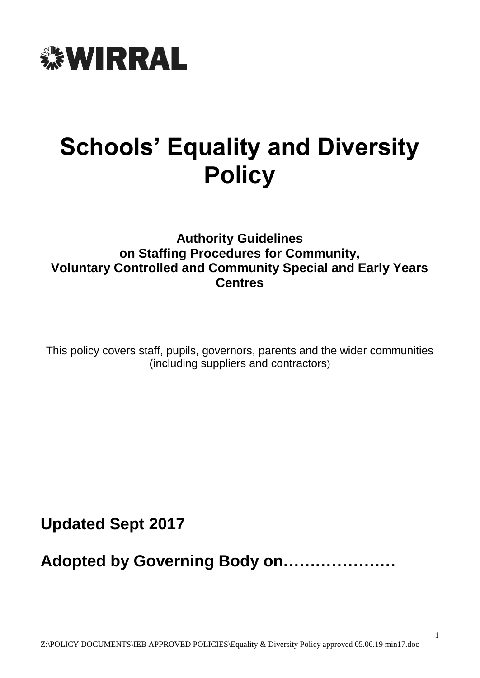

# **Schools' Equality and Diversity Policy**

# **Authority Guidelines on Staffing Procedures for Community, Voluntary Controlled and Community Special and Early Years Centres**

This policy covers staff, pupils, governors, parents and the wider communities (including suppliers and contractors)

**Updated Sept 2017**

**Adopted by Governing Body on…………………**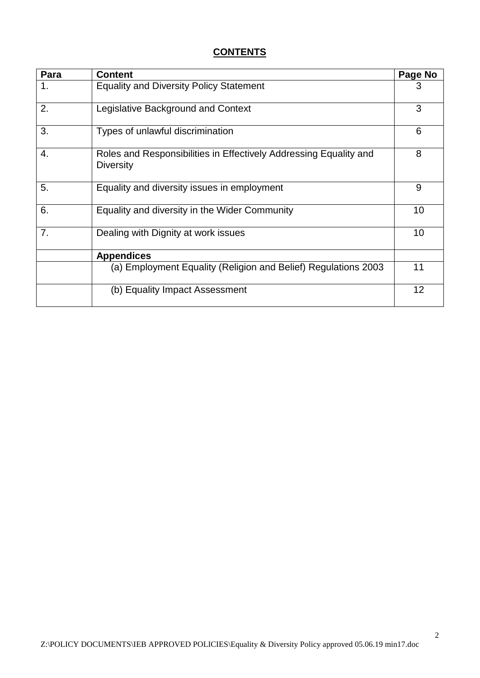# **CONTENTS**

| Para | <b>Content</b>                                                                        | Page No |  |  |
|------|---------------------------------------------------------------------------------------|---------|--|--|
| 1.   | <b>Equality and Diversity Policy Statement</b>                                        |         |  |  |
| 2.   | Legislative Background and Context                                                    |         |  |  |
| 3.   | Types of unlawful discrimination                                                      |         |  |  |
| 4.   | Roles and Responsibilities in Effectively Addressing Equality and<br><b>Diversity</b> |         |  |  |
| 5.   | Equality and diversity issues in employment                                           | 9       |  |  |
| 6.   | Equality and diversity in the Wider Community                                         | 10      |  |  |
| 7.   | Dealing with Dignity at work issues                                                   | 10      |  |  |
|      | <b>Appendices</b>                                                                     |         |  |  |
|      | (a) Employment Equality (Religion and Belief) Regulations 2003                        | 11      |  |  |
|      | (b) Equality Impact Assessment                                                        | 12      |  |  |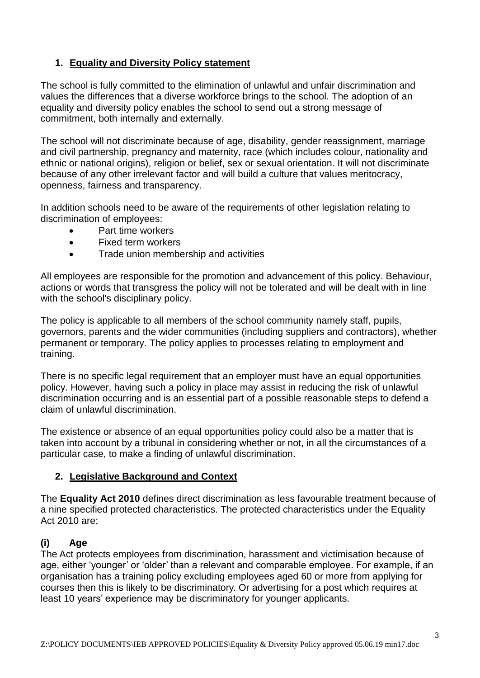## **1. Equality and Diversity Policy statement**

The school is fully committed to the elimination of unlawful and unfair discrimination and values the differences that a diverse workforce brings to the school. The adoption of an equality and diversity policy enables the school to send out a strong message of commitment, both internally and externally.

The school will not discriminate because of age, disability, gender reassignment, marriage and civil partnership, pregnancy and maternity, race (which includes colour, nationality and ethnic or national origins), religion or belief, sex or sexual orientation. It will not discriminate because of any other irrelevant factor and will build a culture that values meritocracy, openness, fairness and transparency.

In addition schools need to be aware of the requirements of other legislation relating to discrimination of employees:

- Part time workers
- Fixed term workers
- Trade union membership and activities

All employees are responsible for the promotion and advancement of this policy. Behaviour, actions or words that transgress the policy will not be tolerated and will be dealt with in line with the school's disciplinary policy.

The policy is applicable to all members of the school community namely staff, pupils, governors, parents and the wider communities (including suppliers and contractors), whether permanent or temporary. The policy applies to processes relating to employment and training.

There is no specific legal requirement that an employer must have an equal opportunities policy. However, having such a policy in place may assist in reducing the risk of unlawful discrimination occurring and is an essential part of a possible reasonable steps to defend a claim of unlawful discrimination.

The existence or absence of an equal opportunities policy could also be a matter that is taken into account by a tribunal in considering whether or not, in all the circumstances of a particular case, to make a finding of unlawful discrimination.

#### **2. Legislative Background and Context**

The **Equality Act 2010** defines direct discrimination as less favourable treatment because of a nine specified protected characteristics. The protected characteristics under the Equality Act 2010 are;

#### **(i) Age**

The Act protects employees from discrimination, harassment and victimisation because of age, either 'younger' or 'older' than a relevant and comparable employee. For example, if an organisation has a training policy excluding employees aged 60 or more from applying for courses then this is likely to be discriminatory. Or advertising for a post which requires at least 10 years' experience may be discriminatory for younger applicants.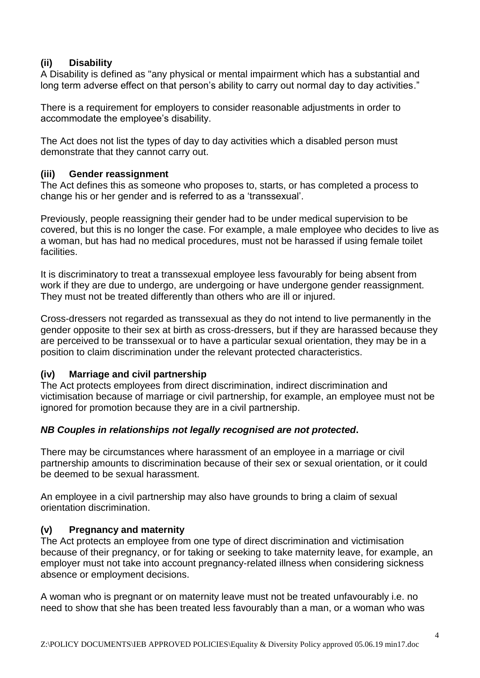#### **(ii) Disability**

A Disability is defined as "any physical or mental impairment which has a substantial and long term adverse effect on that person's ability to carry out normal day to day activities."

There is a requirement for employers to consider reasonable adjustments in order to accommodate the employee's disability.

The Act does not list the types of day to day activities which a disabled person must demonstrate that they cannot carry out.

#### **(iii) Gender reassignment**

The Act defines this as someone who proposes to, starts, or has completed a process to change his or her gender and is referred to as a 'transsexual'.

Previously, people reassigning their gender had to be under medical supervision to be covered, but this is no longer the case. For example, a male employee who decides to live as a woman, but has had no medical procedures, must not be harassed if using female toilet facilities.

It is discriminatory to treat a transsexual employee less favourably for being absent from work if they are due to undergo, are undergoing or have undergone gender reassignment. They must not be treated differently than others who are ill or injured.

Cross-dressers not regarded as transsexual as they do not intend to live permanently in the gender opposite to their sex at birth as cross-dressers, but if they are harassed because they are perceived to be transsexual or to have a particular sexual orientation, they may be in a position to claim discrimination under the relevant protected characteristics.

#### **(iv) Marriage and civil partnership**

The Act protects employees from direct discrimination, indirect discrimination and victimisation because of marriage or civil partnership, for example, an employee must not be ignored for promotion because they are in a civil partnership.

#### *NB Couples in relationships not legally recognised are not protected***.**

There may be circumstances where harassment of an employee in a marriage or civil partnership amounts to discrimination because of their sex or sexual orientation, or it could be deemed to be sexual harassment.

An employee in a civil partnership may also have grounds to bring a claim of sexual orientation discrimination.

#### **(v) Pregnancy and maternity**

The Act protects an employee from one type of direct discrimination and victimisation because of their pregnancy, or for taking or seeking to take maternity leave, for example, an employer must not take into account pregnancy-related illness when considering sickness absence or employment decisions.

A woman who is pregnant or on maternity leave must not be treated unfavourably i.e. no need to show that she has been treated less favourably than a man, or a woman who was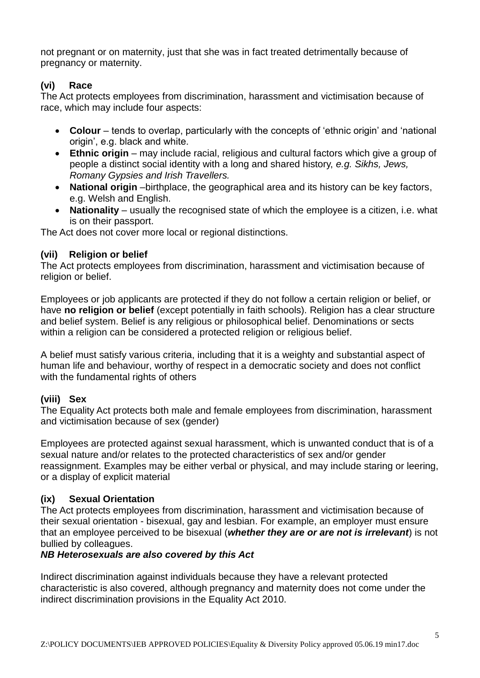not pregnant or on maternity, just that she was in fact treated detrimentally because of pregnancy or maternity.

## **(vi) Race**

The Act protects employees from discrimination, harassment and victimisation because of race, which may include four aspects:

- **Colour** tends to overlap, particularly with the concepts of 'ethnic origin' and 'national origin', e.g. black and white.
- **Ethnic origin**  may include racial, religious and cultural factors which give a group of people a distinct social identity with a long and shared history, *e.g. Sikhs, Jews, Romany Gypsies and Irish Travellers.*
- **National origin** –birthplace, the geographical area and its history can be key factors, e.g. Welsh and English.
- **Nationality** usually the recognised state of which the employee is a citizen, i.e. what is on their passport.

The Act does not cover more local or regional distinctions.

#### **(vii) Religion or belief**

The Act protects employees from discrimination, harassment and victimisation because of religion or belief.

Employees or job applicants are protected if they do not follow a certain religion or belief, or have **no religion or belief** (except potentially in faith schools). Religion has a clear structure and belief system. Belief is any religious or philosophical belief. Denominations or sects within a religion can be considered a protected religion or religious belief.

A belief must satisfy various criteria, including that it is a weighty and substantial aspect of human life and behaviour, worthy of respect in a democratic society and does not conflict with the fundamental rights of others

# **(viii) Sex**

The Equality Act protects both male and female employees from discrimination, harassment and victimisation because of sex (gender)

Employees are protected against sexual harassment, which is unwanted conduct that is of a sexual nature and/or relates to the protected characteristics of sex and/or gender reassignment. Examples may be either verbal or physical, and may include staring or leering, or a display of explicit material

#### **(ix) Sexual Orientation**

The Act protects employees from discrimination, harassment and victimisation because of their sexual orientation - bisexual, gay and lesbian. For example, an employer must ensure that an employee perceived to be bisexual (*whether they are or are not is irrelevant*) is not bullied by colleagues.

#### *NB Heterosexuals are also covered by this Act*

Indirect discrimination against individuals because they have a relevant protected characteristic is also covered, although pregnancy and maternity does not come under the indirect discrimination provisions in the Equality Act 2010.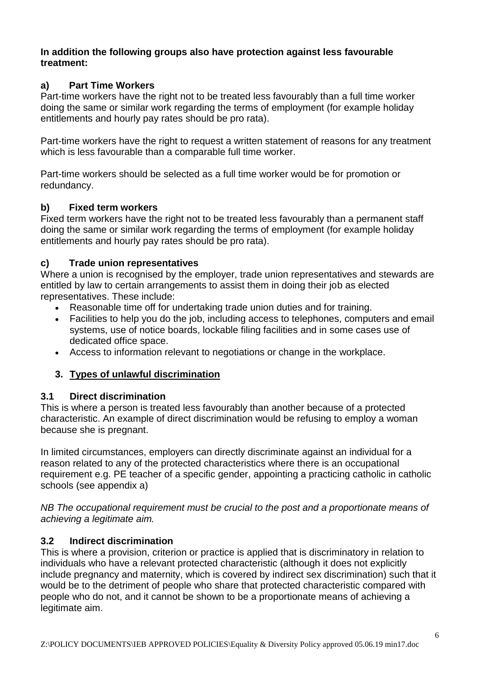#### **In addition the following groups also have protection against less favourable treatment:**

#### **a) Part Time Workers**

Part-time workers have the right not to be treated less favourably than a full time worker doing the same or similar work regarding the terms of employment (for example holiday entitlements and hourly pay rates should be pro rata).

Part-time workers have the right to request a written statement of reasons for any treatment which is less favourable than a comparable full time worker.

Part-time workers should be selected as a full time worker would be for promotion or redundancy.

#### **b) Fixed term workers**

Fixed term workers have the right not to be treated less favourably than a permanent staff doing the same or similar work regarding the terms of employment (for example holiday entitlements and hourly pay rates should be pro rata).

### **c) Trade union representatives**

Where a union is recognised by the employer, trade union representatives and stewards are entitled by law to certain arrangements to assist them in doing their job as elected representatives. These include:

- Reasonable time off for undertaking trade union duties and for training.
- Facilities to help you do the job, including access to telephones, computers and email systems, use of notice boards, lockable filing facilities and in some cases use of dedicated office space.
- Access to information relevant to negotiations or change in the workplace.

# **3. Types of unlawful discrimination**

#### **3.1 Direct discrimination**

This is where a person is treated less favourably than another because of a protected characteristic. An example of direct discrimination would be refusing to employ a woman because she is pregnant.

In limited circumstances, employers can directly discriminate against an individual for a reason related to any of the protected characteristics where there is an occupational requirement e.g. PE teacher of a specific gender, appointing a practicing catholic in catholic schools (see appendix a)

*NB The occupational requirement must be crucial to the post and a proportionate means of achieving a legitimate aim.*

#### **3.2 Indirect discrimination**

This is where a provision, criterion or practice is applied that is discriminatory in relation to individuals who have a relevant protected characteristic (although it does not explicitly include pregnancy and maternity, which is covered by indirect sex discrimination) such that it would be to the detriment of people who share that protected characteristic compared with people who do not, and it cannot be shown to be a proportionate means of achieving a legitimate aim.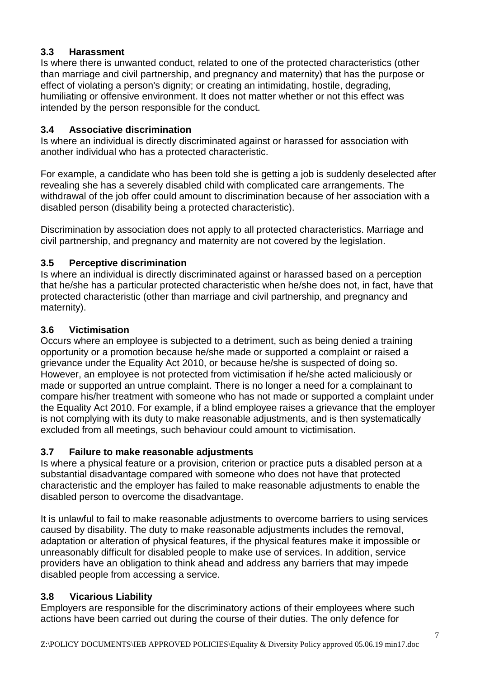#### **3.3 Harassment**

Is where there is unwanted conduct, related to one of the protected characteristics (other than marriage and civil partnership, and pregnancy and maternity) that has the purpose or effect of violating a person's dignity; or creating an intimidating, hostile, degrading, humiliating or offensive environment. It does not matter whether or not this effect was intended by the person responsible for the conduct.

### **3.4 Associative discrimination**

Is where an individual is directly discriminated against or harassed for association with another individual who has a protected characteristic.

For example, a candidate who has been told she is getting a job is suddenly deselected after revealing she has a severely disabled child with complicated care arrangements. The withdrawal of the job offer could amount to discrimination because of her association with a disabled person (disability being a protected characteristic).

Discrimination by association does not apply to all protected characteristics. Marriage and civil partnership, and pregnancy and maternity are not covered by the legislation.

### **3.5 Perceptive discrimination**

Is where an individual is directly discriminated against or harassed based on a perception that he/she has a particular protected characteristic when he/she does not, in fact, have that protected characteristic (other than marriage and civil partnership, and pregnancy and maternity).

### **3.6 Victimisation**

Occurs where an employee is subjected to a detriment, such as being denied a training opportunity or a promotion because he/she made or supported a complaint or raised a grievance under the Equality Act 2010, or because he/she is suspected of doing so. However, an employee is not protected from victimisation if he/she acted maliciously or made or supported an untrue complaint. There is no longer a need for a complainant to compare his/her treatment with someone who has not made or supported a complaint under the Equality Act 2010. For example, if a blind employee raises a grievance that the employer is not complying with its duty to make reasonable adjustments, and is then systematically excluded from all meetings, such behaviour could amount to victimisation.

#### **3.7 Failure to make reasonable adjustments**

Is where a physical feature or a provision, criterion or practice puts a disabled person at a substantial disadvantage compared with someone who does not have that protected characteristic and the employer has failed to make reasonable adjustments to enable the disabled person to overcome the disadvantage.

It is unlawful to fail to make reasonable adjustments to overcome barriers to using services caused by disability. The duty to make reasonable adjustments includes the removal, adaptation or alteration of physical features, if the physical features make it impossible or unreasonably difficult for disabled people to make use of services. In addition, service providers have an obligation to think ahead and address any barriers that may impede disabled people from accessing a service.

# **3.8 Vicarious Liability**

Employers are responsible for the discriminatory actions of their employees where such actions have been carried out during the course of their duties. The only defence for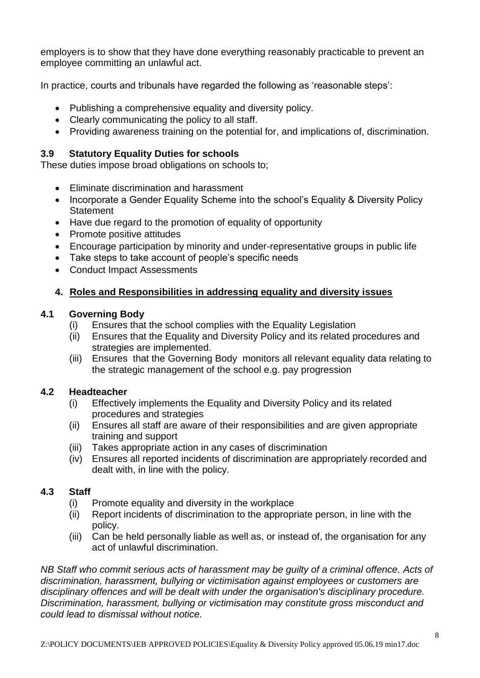employers is to show that they have done everything reasonably practicable to prevent an employee committing an unlawful act.

In practice, courts and tribunals have regarded the following as 'reasonable steps':

- Publishing a comprehensive equality and diversity policy.
- Clearly communicating the policy to all staff.
- Providing awareness training on the potential for, and implications of, discrimination.

#### **3.9 Statutory Equality Duties for schools**

These duties impose broad obligations on schools to;

- Eliminate discrimination and harassment
- Incorporate a Gender Equality Scheme into the school's Equality & Diversity Policy **Statement**
- Have due regard to the promotion of equality of opportunity
- Promote positive attitudes
- Encourage participation by minority and under-representative groups in public life
- Take steps to take account of people's specific needs
- Conduct Impact Assessments

# **4. Roles and Responsibilities in addressing equality and diversity issues**

#### **4.1 Governing Body**

- (i) Ensures that the school complies with the Equality Legislation
- (ii) Ensures that the Equality and Diversity Policy and its related procedures and strategies are implemented.
- (iii) Ensures that the Governing Body monitors all relevant equality data relating to the strategic management of the school e.g. pay progression

#### **4.2 Headteacher**

- (i) Effectively implements the Equality and Diversity Policy and its related procedures and strategies
- (ii) Ensures all staff are aware of their responsibilities and are given appropriate training and support
- (iii) Takes appropriate action in any cases of discrimination
- (iv) Ensures all reported incidents of discrimination are appropriately recorded and dealt with, in line with the policy.

#### **4.3 Staff**

- (i) Promote equality and diversity in the workplace
- (ii) Report incidents of discrimination to the appropriate person, in line with the policy.
- (iii) Can be held personally liable as well as, or instead of, the organisation for any act of unlawful discrimination.

*NB Staff who commit serious acts of harassment may be guilty of a criminal offence. Acts of discrimination, harassment, bullying or victimisation against employees or customers are disciplinary offences and will be dealt with under the organisation's disciplinary procedure. Discrimination, harassment, bullying or victimisation may constitute gross misconduct and could lead to dismissal without notice.*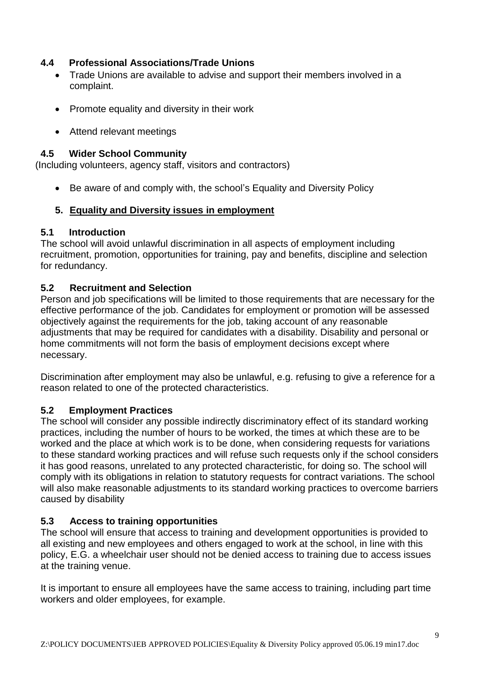#### **4.4 Professional Associations/Trade Unions**

- Trade Unions are available to advise and support their members involved in a complaint.
- Promote equality and diversity in their work
- Attend relevant meetings

#### **4.5 Wider School Community**

(Including volunteers, agency staff, visitors and contractors)

• Be aware of and comply with, the school's Equality and Diversity Policy

### **5. Equality and Diversity issues in employment**

#### **5.1 Introduction**

The school will avoid unlawful discrimination in all aspects of employment including recruitment, promotion, opportunities for training, pay and benefits, discipline and selection for redundancy.

### **5.2 Recruitment and Selection**

Person and job specifications will be limited to those requirements that are necessary for the effective performance of the job. Candidates for employment or promotion will be assessed objectively against the requirements for the job, taking account of any reasonable adjustments that may be required for candidates with a disability. Disability and personal or home commitments will not form the basis of employment decisions except where necessary.

Discrimination after employment may also be unlawful, e.g. refusing to give a reference for a reason related to one of the protected characteristics.

#### **5.2 Employment Practices**

The school will consider any possible indirectly discriminatory effect of its standard working practices, including the number of hours to be worked, the times at which these are to be worked and the place at which work is to be done, when considering requests for variations to these standard working practices and will refuse such requests only if the school considers it has good reasons, unrelated to any protected characteristic, for doing so. The school will comply with its obligations in relation to statutory requests for contract variations. The school will also make reasonable adjustments to its standard working practices to overcome barriers caused by disability

# **5.3 Access to training opportunities**

The school will ensure that access to training and development opportunities is provided to all existing and new employees and others engaged to work at the school, in line with this policy, E.G. a wheelchair user should not be denied access to training due to access issues at the training venue.

It is important to ensure all employees have the same access to training, including part time workers and older employees, for example.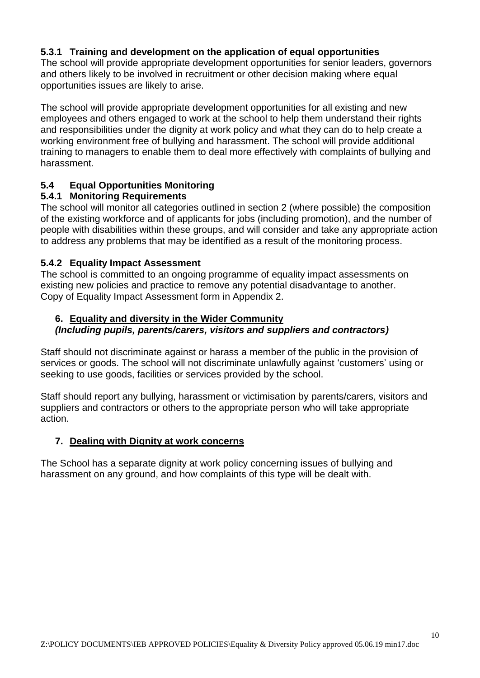#### **5.3.1 Training and development on the application of equal opportunities**

The school will provide appropriate development opportunities for senior leaders, governors and others likely to be involved in recruitment or other decision making where equal opportunities issues are likely to arise.

The school will provide appropriate development opportunities for all existing and new employees and others engaged to work at the school to help them understand their rights and responsibilities under the dignity at work policy and what they can do to help create a working environment free of bullying and harassment. The school will provide additional training to managers to enable them to deal more effectively with complaints of bullying and harassment.

#### **5.4 Equal Opportunities Monitoring**

#### **5.4.1 Monitoring Requirements**

The school will monitor all categories outlined in section 2 (where possible) the composition of the existing workforce and of applicants for jobs (including promotion), and the number of people with disabilities within these groups, and will consider and take any appropriate action to address any problems that may be identified as a result of the monitoring process.

#### **5.4.2 Equality Impact Assessment**

The school is committed to an ongoing programme of equality impact assessments on existing new policies and practice to remove any potential disadvantage to another. Copy of Equality Impact Assessment form in Appendix 2.

# **6. Equality and diversity in the Wider Community**

#### *(Including pupils, parents/carers, visitors and suppliers and contractors)*

Staff should not discriminate against or harass a member of the public in the provision of services or goods. The school will not discriminate unlawfully against 'customers' using or seeking to use goods, facilities or services provided by the school.

Staff should report any bullying, harassment or victimisation by parents/carers, visitors and suppliers and contractors or others to the appropriate person who will take appropriate action.

#### **7. Dealing with Dignity at work concerns**

The School has a separate dignity at work policy concerning issues of bullying and harassment on any ground, and how complaints of this type will be dealt with.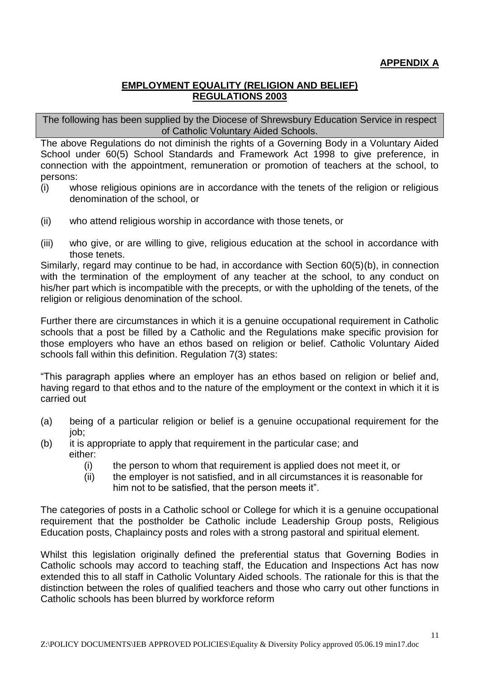# **APPENDIX A**

#### **EMPLOYMENT EQUALITY (RELIGION AND BELIEF) REGULATIONS 2003**

The following has been supplied by the Diocese of Shrewsbury Education Service in respect of Catholic Voluntary Aided Schools.

The above Regulations do not diminish the rights of a Governing Body in a Voluntary Aided School under 60(5) School Standards and Framework Act 1998 to give preference, in connection with the appointment, remuneration or promotion of teachers at the school, to persons:

- (i) whose religious opinions are in accordance with the tenets of the religion or religious denomination of the school, or
- (ii) who attend religious worship in accordance with those tenets, or
- (iii) who give, or are willing to give, religious education at the school in accordance with those tenets.

Similarly, regard may continue to be had, in accordance with Section 60(5)(b), in connection with the termination of the employment of any teacher at the school, to any conduct on his/her part which is incompatible with the precepts, or with the upholding of the tenets, of the religion or religious denomination of the school.

Further there are circumstances in which it is a genuine occupational requirement in Catholic schools that a post be filled by a Catholic and the Regulations make specific provision for those employers who have an ethos based on religion or belief. Catholic Voluntary Aided schools fall within this definition. Regulation 7(3) states:

"This paragraph applies where an employer has an ethos based on religion or belief and, having regard to that ethos and to the nature of the employment or the context in which it it is carried out

- (a) being of a particular religion or belief is a genuine occupational requirement for the job;
- (b) it is appropriate to apply that requirement in the particular case; and either:
	- (i) the person to whom that requirement is applied does not meet it, or
	- (ii) the employer is not satisfied, and in all circumstances it is reasonable for him not to be satisfied, that the person meets it".

The categories of posts in a Catholic school or College for which it is a genuine occupational requirement that the postholder be Catholic include Leadership Group posts, Religious Education posts, Chaplaincy posts and roles with a strong pastoral and spiritual element.

Whilst this legislation originally defined the preferential status that Governing Bodies in Catholic schools may accord to teaching staff, the Education and Inspections Act has now extended this to all staff in Catholic Voluntary Aided schools. The rationale for this is that the distinction between the roles of qualified teachers and those who carry out other functions in Catholic schools has been blurred by workforce reform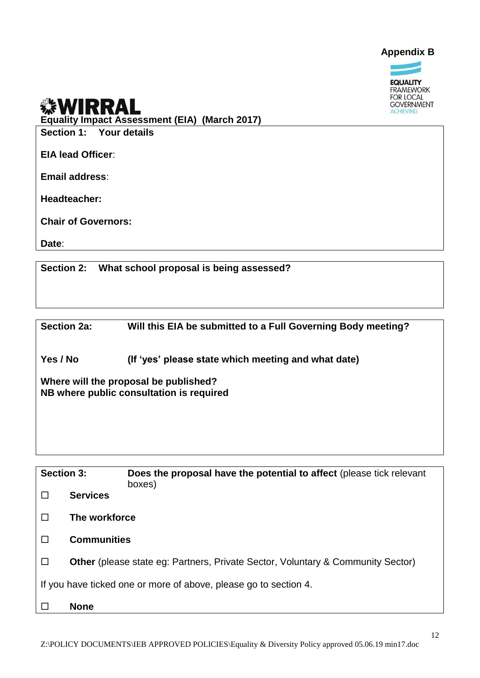



#### **WIRRA** L

**Equality Impact Assessment (EIA) (March 2017)**

**Section 1: Your details**

**EIA lead Officer**:

**Email address**:

**Headteacher:**

**Chair of Governors:**

**Date**:

**Section 2: What school proposal is being assessed?**

**Section 2a: Will this EIA be submitted to a Full Governing Body meeting?** 

**Yes / No (If 'yes' please state which meeting and what date)**

**Where will the proposal be published? NB where public consultation is required**

| <b>Section 3:</b>                                                |                    | <b>Does the proposal have the potential to affect</b> (please tick relevant<br>boxes)  |  |  |  |  |
|------------------------------------------------------------------|--------------------|----------------------------------------------------------------------------------------|--|--|--|--|
|                                                                  | <b>Services</b>    |                                                                                        |  |  |  |  |
|                                                                  | The workforce      |                                                                                        |  |  |  |  |
|                                                                  | <b>Communities</b> |                                                                                        |  |  |  |  |
|                                                                  |                    | <b>Other</b> (please state eg: Partners, Private Sector, Voluntary & Community Sector) |  |  |  |  |
| If you have ticked one or more of above, please go to section 4. |                    |                                                                                        |  |  |  |  |
|                                                                  | <b>None</b>        |                                                                                        |  |  |  |  |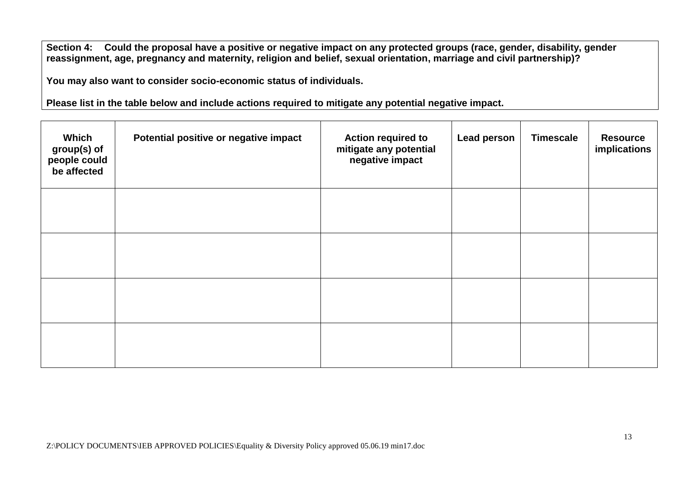**Section 4: Could the proposal have a positive or negative impact on any protected groups (race, gender, disability, gender reassignment, age, pregnancy and maternity, religion and belief, sexual orientation, marriage and civil partnership)?**

**You may also want to consider socio-economic status of individuals.**

**Please list in the table below and include actions required to mitigate any potential negative impact.**

| Which<br>group(s) of<br>people could<br>be affected | Potential positive or negative impact | <b>Action required to</b><br>mitigate any potential<br>negative impact | <b>Lead person</b> | <b>Timescale</b> | <b>Resource</b><br>implications |
|-----------------------------------------------------|---------------------------------------|------------------------------------------------------------------------|--------------------|------------------|---------------------------------|
|                                                     |                                       |                                                                        |                    |                  |                                 |
|                                                     |                                       |                                                                        |                    |                  |                                 |
|                                                     |                                       |                                                                        |                    |                  |                                 |
|                                                     |                                       |                                                                        |                    |                  |                                 |